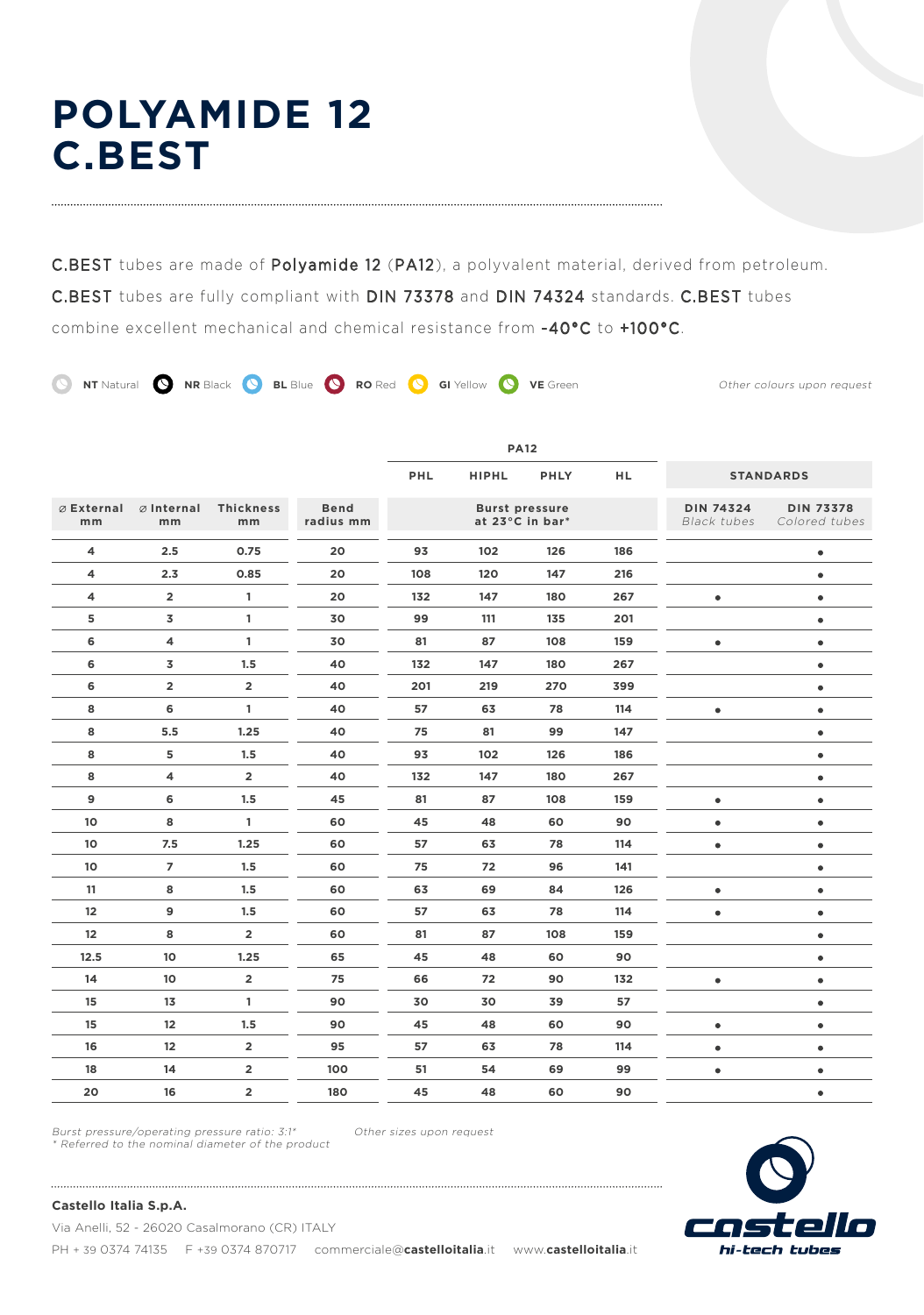# **POLYAMIDE 12 C.BEST**

C.BEST tubes are made of Polyamide 12 (PA12), a polyvalent material, derived from petroleum. C.BEST tubes are fully compliant with DIN 73378 and DIN 74324 standards. C.BEST tubes combine excellent mechanical and chemical resistance from -40°C to +100°C.

**NT** Natural **Q RR** Black **Q BL** Blue **Q RO** Red **Q** GI Yellow **Q** VE Green Other colours upon request

**PA12 PHL HIPHL PHLY HL STANDARDS Internal Thickness Bend DIN 74324 DIN 73378 External Burst pressure at 23°C in bar\* mm mm mm radius mm** Black tubes Colored tubes **4 2.5 0.75 20 93 102 126 186**  $\bullet$  $\bullet$ **4 2.3 0.85 20 108 120 147 216 4 2 1 20 132 147 180 267**  $\bullet$  $\bullet$ **5 3 1 30 99 111 135 201**  $\bullet$  $\bullet$  $\bullet$ **6 4 1 30 81 87 108 159 6 3 1.5 40 132 147 180 267**  $\bullet$ **6 2 2 40 201 219 270 399**  $\bullet$  $\bullet$  $\bullet$ **8 6 1 40 57 63 78 114**  $\bullet$ **8 5.5 1.25 40 75 81 99 147 8 5 1.5 40 93 102 126 186**  $\bullet$  $\bullet$ **8 4 2 40 132 147 180 267 9 6 1.5 45 81 87 108 159**  $\bullet$  $\bullet$ **10 8 1 60 45 48 60 90**  $\bullet$  $\bullet$  $\bullet$  $\bullet$ **10 7.5 1.25 60 57 63 78 114 10 7 1.5 60 75 72 96 141**  $\bullet$ **11 8 1.5 60 63 69 84 126**  $\bullet$  $\bullet$  $\bullet$ **12 9 1.5 60 57 63 78 114**  $\bullet$ **12 8 2 60 81 87 108 159**  $\bullet$ **12.5 10 1.25 65 45 48 60 90**  $\bullet$  $\bullet$  $\bullet$ **14 10 2 75 66 72 90 132 15 13 1 90 30 30 39 57**  $\bullet$ **15 12 1.5 90 45 48 60 90**  $\bullet$  $\bullet$  $\bullet$  $\bullet$ **16 12 2 95 57 63 78 114 18 14 2 100 51 54 69 99**  $\bullet$  $\bullet$ **20 16 2 180 45 48 60 90**  $\bullet$ 

Burst pressure/operating pressure ratio: 3:1\* \* Referred to the nominal diameter of the product

Other sizes upon request



**Castello Italia S.p.A.**

Via Anelli, 52 - 26020 Casalmorano (CR) ITALY PH + 39 0374 74135 F +39 0374 870717 commerciale@castelloitalia.it www.castelloitalia.it